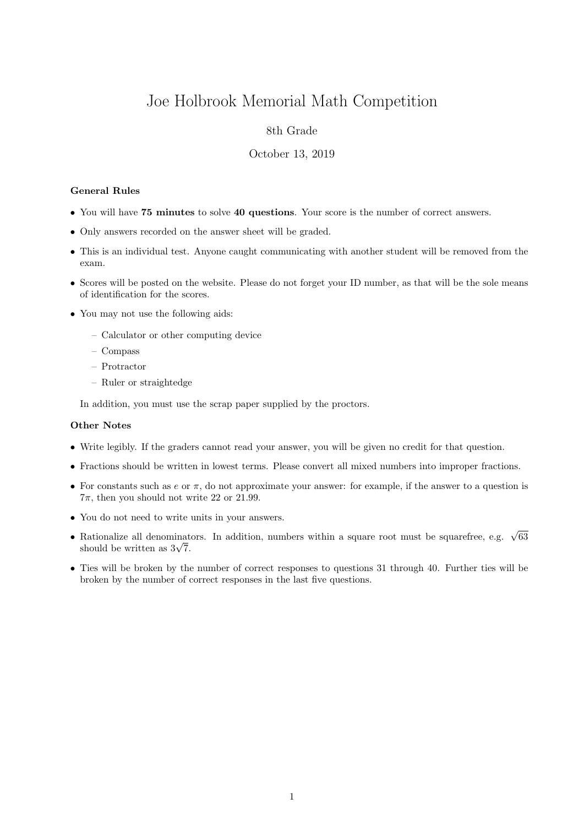# Joe Holbrook Memorial Math Competition

## 8th Grade

#### October 13, 2019

#### General Rules

- You will have 75 minutes to solve 40 questions. Your score is the number of correct answers.
- Only answers recorded on the answer sheet will be graded.
- This is an individual test. Anyone caught communicating with another student will be removed from the exam.
- Scores will be posted on the website. Please do not forget your ID number, as that will be the sole means of identification for the scores.
- You may not use the following aids:
	- Calculator or other computing device
	- Compass
	- Protractor
	- Ruler or straightedge

In addition, you must use the scrap paper supplied by the proctors.

### Other Notes

- Write legibly. If the graders cannot read your answer, you will be given no credit for that question.
- Fractions should be written in lowest terms. Please convert all mixed numbers into improper fractions.
- For constants such as  $e$  or  $\pi$ , do not approximate your answer: for example, if the answer to a question is  $7\pi$ , then you should not write 22 or 21.99.
- You do not need to write units in your answers.
- Rationalize all denominators. In addition, numbers within a square root must be squarefree, e.g.  $\sqrt{63}$ Rationalize all denominat<br>should be written as  $3\sqrt{7}$ .
- Ties will be broken by the number of correct responses to questions 31 through 40. Further ties will be broken by the number of correct responses in the last five questions.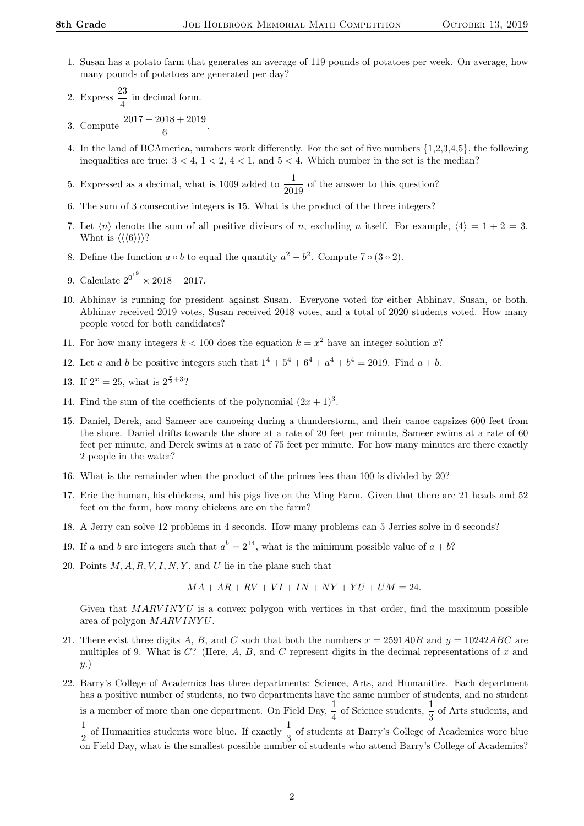- 1. Susan has a potato farm that generates an average of 119 pounds of potatoes per week. On average, how many pounds of potatoes are generated per day?
- 2. Express  $\frac{23}{4}$  in decimal form.
- 3. Compute  $\frac{2017 + 2018 + 2019}{6}$ .
- 4. In the land of BCAmerica, numbers work differently. For the set of five numbers {1,2,3,4,5}, the following inequalities are true:  $3 < 4$ ,  $1 < 2$ ,  $4 < 1$ , and  $5 < 4$ . Which number in the set is the median?

5. Expressed as a decimal, what is 1009 added to  $\frac{1}{2019}$  of the answer to this question?

- 6. The sum of 3 consecutive integers is 15. What is the product of the three integers?
- 7. Let  $\langle n \rangle$  denote the sum of all positive divisors of n, excluding n itself. For example,  $\langle 4 \rangle = 1 + 2 = 3$ . What is  $\langle \langle 6 \rangle \rangle$ ?
- 8. Define the function  $a \circ b$  to equal the quantity  $a^2 b^2$ . Compute 7  $\circ$  (3  $\circ$  2).
- 9. Calculate  $2^{0^{1^9}} \times 2018 2017$ .
- 10. Abhinav is running for president against Susan. Everyone voted for either Abhinav, Susan, or both. Abhinav received 2019 votes, Susan received 2018 votes, and a total of 2020 students voted. How many people voted for both candidates?
- 11. For how many integers  $k < 100$  does the equation  $k = x^2$  have an integer solution x?
- 12. Let a and b be positive integers such that  $1^4 + 5^4 + 6^4 + a^4 + b^4 = 2019$ . Find  $a + b$ .
- 13. If  $2^x = 25$ , what is  $2^{\frac{x}{2}+3}$ ?
- 14. Find the sum of the coefficients of the polynomial  $(2x+1)^3$ .
- 15. Daniel, Derek, and Sameer are canoeing during a thunderstorm, and their canoe capsizes 600 feet from the shore. Daniel drifts towards the shore at a rate of 20 feet per minute, Sameer swims at a rate of 60 feet per minute, and Derek swims at a rate of 75 feet per minute. For how many minutes are there exactly 2 people in the water?
- 16. What is the remainder when the product of the primes less than 100 is divided by 20?
- 17. Eric the human, his chickens, and his pigs live on the Ming Farm. Given that there are 21 heads and 52 feet on the farm, how many chickens are on the farm?
- 18. A Jerry can solve 12 problems in 4 seconds. How many problems can 5 Jerries solve in 6 seconds?
- 19. If a and b are integers such that  $a^b = 2^{14}$ , what is the minimum possible value of  $a + b$ ?
- 20. Points  $M, A, R, V, I, N, Y$ , and U lie in the plane such that

$$
MA + AR + RV + VI + IN + NY + YU + UM = 24.
$$

Given that  $MARVINYU$  is a convex polygon with vertices in that order, find the maximum possible area of polygon  $MARVINYU$ .

- 21. There exist three digits A, B, and C such that both the numbers  $x = 2591A0B$  and  $y = 10242ABC$  are multiples of 9. What is  $C$ ? (Here, A, B, and C represent digits in the decimal representations of x and y.)
- 22. Barry's College of Academics has three departments: Science, Arts, and Humanities. Each department has a positive number of students, no two departments have the same number of students, and no student is a member of more than one department. On Field Day,  $\frac{1}{4}$  of Science students,  $\frac{1}{3}$  of Arts students, and 1  $\frac{1}{2}$  of Humanities students wore blue. If exactly  $\frac{1}{3}$  of students at Barry's College of Academics wore blue on Field Day, what is the smallest possible number of students who attend Barry's College of Academics?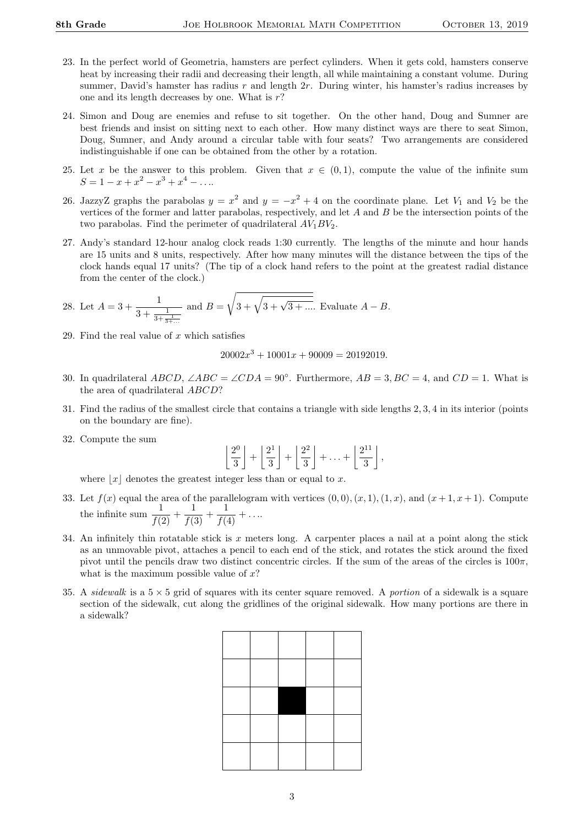- 23. In the perfect world of Geometria, hamsters are perfect cylinders. When it gets cold, hamsters conserve heat by increasing their radii and decreasing their length, all while maintaining a constant volume. During summer, David's hamster has radius r and length  $2r$ . During winter, his hamster's radius increases by one and its length decreases by one. What is  $r$ ?
- 24. Simon and Doug are enemies and refuse to sit together. On the other hand, Doug and Sumner are best friends and insist on sitting next to each other. How many distinct ways are there to seat Simon, Doug, Sumner, and Andy around a circular table with four seats? Two arrangements are considered indistinguishable if one can be obtained from the other by a rotation.
- 25. Let x be the answer to this problem. Given that  $x \in (0,1)$ , compute the value of the infinite sum  $S = 1 - x + x^2 - x^3 + x^4 - \dots$
- 26. JazzyZ graphs the parabolas  $y = x^2$  and  $y = -x^2 + 4$  on the coordinate plane. Let  $V_1$  and  $V_2$  be the vertices of the former and latter parabolas, respectively, and let A and B be the intersection points of the two parabolas. Find the perimeter of quadrilateral  $AV_1BV_2$ .
- 27. Andy's standard 12-hour analog clock reads 1:30 currently. The lengths of the minute and hour hands are 15 units and 8 units, respectively. After how many minutes will the distance between the tips of the clock hands equal 17 units? (The tip of a clock hand refers to the point at the greatest radial distance from the center of the clock.)

28. Let 
$$
A = 3 + \frac{1}{3 + \frac{1}{3 + \frac{1}{3 + \dotsb}}}
$$
 and  $B = \sqrt{3 + \sqrt{3 + \sqrt{3 + \dotsb}}}$ . Evaluate  $A - B$ .

29. Find the real value of  $x$  which satisfies

$$
20002x^3 + 10001x + 90009 = 20192019.
$$

- 30. In quadrilateral  $ABCD$ ,  $\angle ABC = \angle CDA = 90^\circ$ . Furthermore,  $AB = 3$ ,  $BC = 4$ , and  $CD = 1$ . What is the area of quadrilateral ABCD?
- 31. Find the radius of the smallest circle that contains a triangle with side lengths 2, 3, 4 in its interior (points on the boundary are fine).
- 32. Compute the sum

$$
\left\lfloor \frac{2^0}{3} \right\rfloor + \left\lfloor \frac{2^1}{3} \right\rfloor + \left\lfloor \frac{2^2}{3} \right\rfloor + \ldots + \left\lfloor \frac{2^{11}}{3} \right\rfloor,
$$

where  $|x|$  denotes the greatest integer less than or equal to x.

- 33. Let  $f(x)$  equal the area of the parallelogram with vertices  $(0,0),(x,1),(1,x)$ , and  $(x+1,x+1)$ . Compute the infinite sum  $\frac{1}{f(2)} + \frac{1}{f(3)} + \frac{1}{f(4)} + \dots$
- 34. An infinitely thin rotatable stick is x meters long. A carpenter places a nail at a point along the stick as an unmovable pivot, attaches a pencil to each end of the stick, and rotates the stick around the fixed pivot until the pencils draw two distinct concentric circles. If the sum of the areas of the circles is  $100\pi$ , what is the maximum possible value of  $x$ ?
- 35. A *sidewalk* is a  $5 \times 5$  grid of squares with its center square removed. A *portion* of a sidewalk is a square section of the sidewalk, cut along the gridlines of the original sidewalk. How many portions are there in a sidewalk?